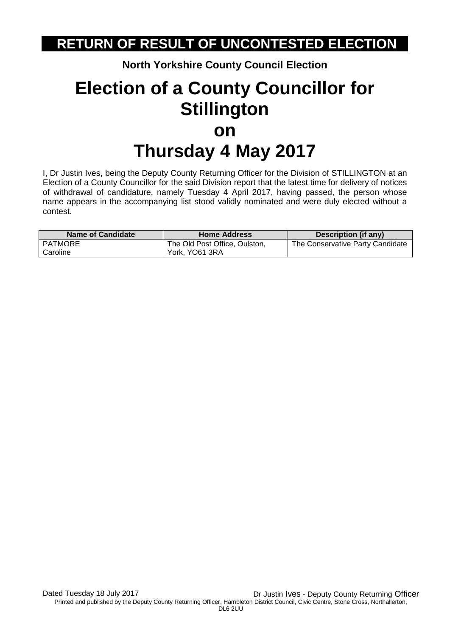## **RETURN OF RESULT OF UNCONTESTED ELECTION**

**North Yorkshire County Council Election**

## **Election of a County Councillor for Stillington on Thursday 4 May 2017**

I, Dr Justin Ives, being the Deputy County Returning Officer for the Division of STILLINGTON at an Election of a County Councillor for the said Division report that the latest time for delivery of notices of withdrawal of candidature, namely Tuesday 4 April 2017, having passed, the person whose name appears in the accompanying list stood validly nominated and were duly elected without a contest.

| <b>Name of Candidate</b> | <b>Home Address</b>           | Description (if any)             |
|--------------------------|-------------------------------|----------------------------------|
| PATMORE                  | The Old Post Office, Oulston, | The Conservative Party Candidate |
| Caroline                 | York, YO61 3RA                |                                  |